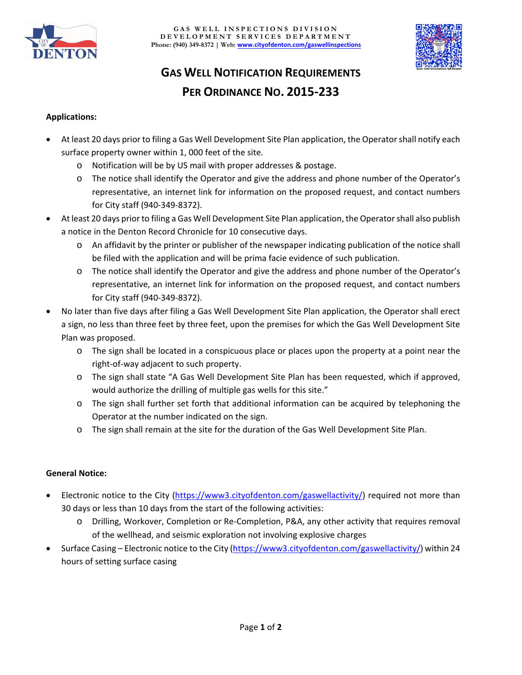



# **GAS WELL NOTIFICATION REQUIREMENTS PER ORDINANCE NO. 2015‐233**

## **Applications:**

- At least 20 days prior to filing a Gas Well Development Site Plan application, the Operatorshall notify each surface property owner within 1, 000 feet of the site.
	- o Notification will be by US mail with proper addresses & postage.
	- o The notice shall identify the Operator and give the address and phone number of the Operator's representative, an internet link for information on the proposed request, and contact numbers for City staff (940‐349‐8372).
- At least 20 days prior to filing a Gas Well Development Site Plan application, the Operatorshall also publish a notice in the Denton Record Chronicle for 10 consecutive days.
	- o An affidavit by the printer or publisher of the newspaper indicating publication of the notice shall be filed with the application and will be prima facie evidence of such publication.
	- o The notice shall identify the Operator and give the address and phone number of the Operator's representative, an internet link for information on the proposed request, and contact numbers for City staff (940‐349‐8372).
- No later than five days after filing a Gas Well Development Site Plan application, the Operator shall erect a sign, no less than three feet by three feet, upon the premises for which the Gas Well Development Site Plan was proposed.
	- o The sign shall be located in a conspicuous place or places upon the property at a point near the right‐of‐way adjacent to such property.
	- o The sign shall state "A Gas Well Development Site Plan has been requested, which if approved, would authorize the drilling of multiple gas wells for this site."
	- o The sign shall further set forth that additional information can be acquired by telephoning the Operator at the number indicated on the sign.
	- o The sign shall remain at the site for the duration of the Gas Well Development Site Plan.

## **General Notice:**

- Electronic notice to the City (https://www3.cityofdenton.com/gaswellactivity/) required not more than 30 days or less than 10 days from the start of the following activities:
	- o Drilling, Workover, Completion or Re‐Completion, P&A, any other activity that requires removal of the wellhead, and seismic exploration not involving explosive charges
- Surface Casing Electronic notice to the City (https://www3.cityofdenton.com/gaswellactivity/) within 24 hours of setting surface casing